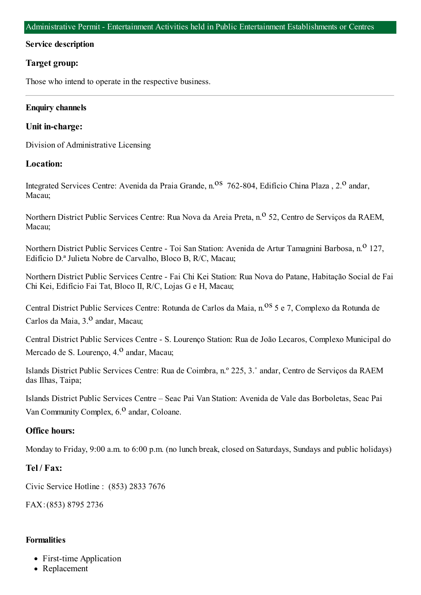### **Service description**

## **Target group:**

Those who intend to operate in the respective business.

## **Enquiry channels**

## **Unit in-charge:**

Division of Administrative Licensing

## **Location:**

Integrated Services Centre: Avenida da Praia Grande, n.<sup>08</sup> 762-804, Edifício China Plaza, 2.<sup>0</sup> andar, Macau;

Northern District Public Services Centre: Rua Nova da Areia Preta, n.<sup>o</sup> 52, Centro de Servicos da RAEM, Macau;

Northern District Public Services Centre - Toi San Station: Avenida de Artur Tamagnini Barbosa, n.<sup>0</sup> 127, Edifício D.ª Julieta Nobre de Carvalho, Bloco B, R/C, Macau;

Northern District Public Services Centre - Fai Chi Kei Station: Rua Nova do Patane, Habitação Social de Fai Chi Kei, Edifício Fai Tat, Bloco II, R/C, Lojas G e H, Macau;

Central District Public Services Centre: Rotunda de Carlos da Maia, n.<sup>08</sup> 5 e 7, Complexo da Rotunda de Carlos da Maia, 3.º andar, Macau;

Central District Public Services Centre - S. Lourenço Station: Rua de João Lecaros, Complexo Municipal do Mercado de S. Lourenço, 4.<sup>0</sup> andar, Macau;

Islands District Public Services Centre: Rua de Coimbra, n.º 225, 3.˚ andar, Centro de Serviços da RAEM das Ilhas, Taipa;

Islands District Public Services Centre – Seac Pai Van Station: Avenida de Vale das Borboletas, Seac Pai Van Community Complex,  $6<sup>0</sup>$  andar, Coloane.

# **Office hours:**

Monday to Friday, 9:00 a.m. to 6:00 p.m. (no lunch break, closed on Saturdays, Sundays and public holidays)

## **Tel / Fax:**

Civic Service Hotline : (853) 2833 7676

FAX:(853) 8795 2736

#### **Formalities**

- First-time Application
- Replacement